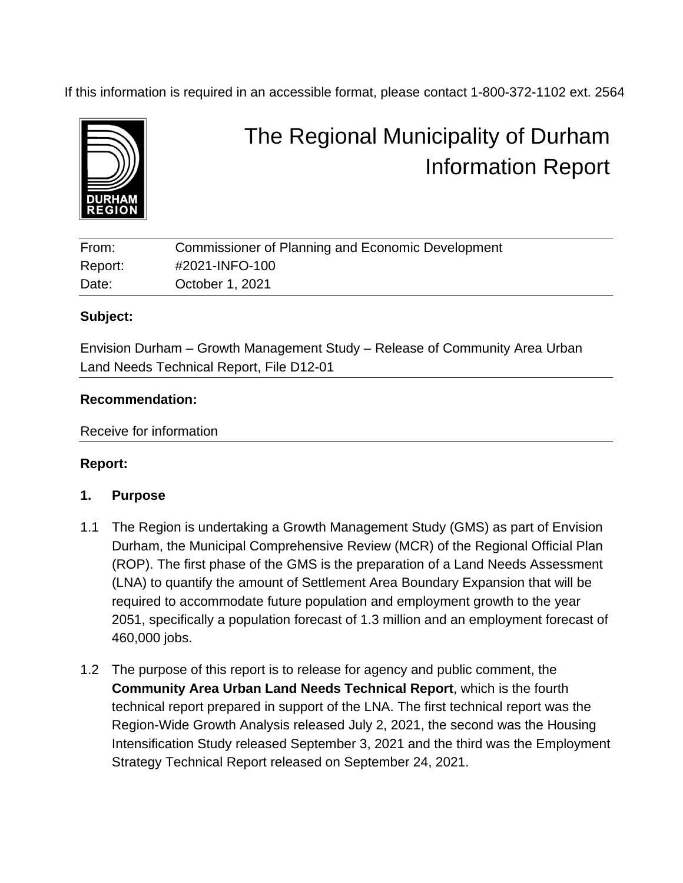If this information is required in an accessible format, please contact 1-800-372-1102 ext. 2564



# The Regional Municipality of Durham Information Report

| From:   | Commissioner of Planning and Economic Development |
|---------|---------------------------------------------------|
| Report: | #2021-INFO-100                                    |
| Date:   | October 1, 2021                                   |

#### **Subject:**

Envision Durham – Growth Management Study – Release of Community Area Urban Land Needs Technical Report, File D12-01

#### **Recommendation:**

Receive for information

#### **Report:**

#### **1. Purpose**

- 1.1 The Region is undertaking a Growth Management Study (GMS) as part of Envision Durham, the Municipal Comprehensive Review (MCR) of the Regional Official Plan (ROP). The first phase of the GMS is the preparation of a Land Needs Assessment (LNA) to quantify the amount of Settlement Area Boundary Expansion that will be required to accommodate future population and employment growth to the year 2051, specifically a population forecast of 1.3 million and an employment forecast of 460,000 jobs.
- 1.2 The purpose of this report is to release for agency and public comment, the **Community Area Urban Land Needs Technical Report**, which is the fourth technical report prepared in support of the LNA. The first technical report was the Region-Wide Growth Analysis released July 2, 2021, the second was the Housing Intensification Study released September 3, 2021 and the third was the Employment Strategy Technical Report released on September 24, 2021.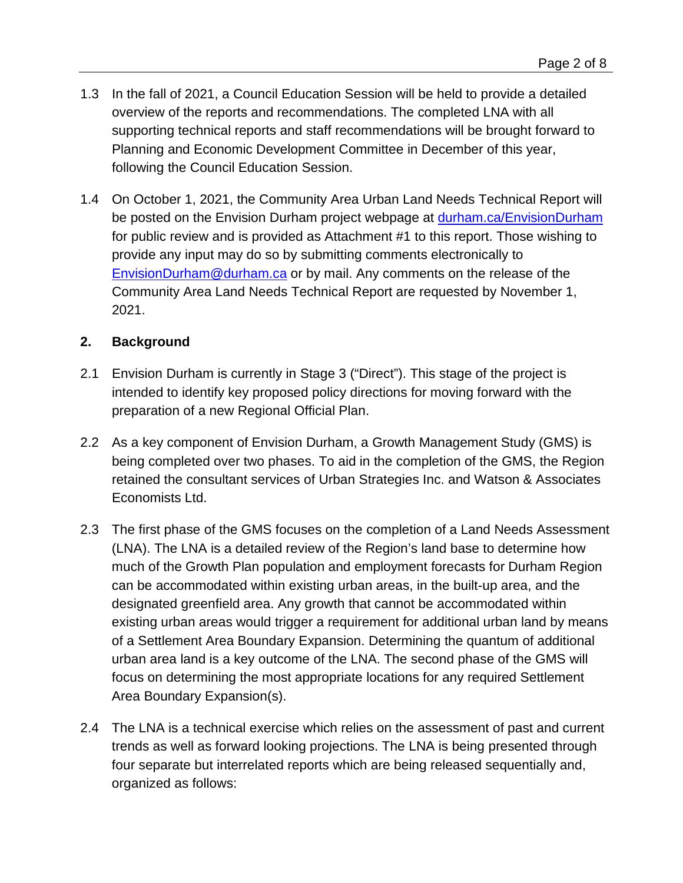- 1.3 In the fall of 2021, a Council Education Session will be held to provide a detailed overview of the reports and recommendations. The completed LNA with all supporting technical reports and staff recommendations will be brought forward to Planning and Economic Development Committee in December of this year, following the Council Education Session.
- 1.4 On October 1, 2021, the Community Area Urban Land Needs Technical Report will be posted on the Envision Durham project webpage at [durham.ca/EnvisionDurham](https://www.durham.ca/en/doing-business/envision-durham.aspx) for public review and is provided as Attachment #1 to this report. Those wishing to provide any input may do so by submitting comments electronically to [EnvisionDurham@durham.ca](mailto:EnvisionDurham@durham.ca) or by mail. Any comments on the release of the Community Area Land Needs Technical Report are requested by November 1, 2021.

#### **2. Background**

- 2.1 Envision Durham is currently in Stage 3 ("Direct"). This stage of the project is intended to identify key proposed policy directions for moving forward with the preparation of a new Regional Official Plan.
- 2.2 As a key component of Envision Durham, a Growth Management Study (GMS) is being completed over two phases. To aid in the completion of the GMS, the Region retained the consultant services of Urban Strategies Inc. and Watson & Associates Economists Ltd.
- 2.3 The first phase of the GMS focuses on the completion of a Land Needs Assessment (LNA). The LNA is a detailed review of the Region's land base to determine how much of the Growth Plan population and employment forecasts for Durham Region can be accommodated within existing urban areas, in the built-up area, and the designated greenfield area. Any growth that cannot be accommodated within existing urban areas would trigger a requirement for additional urban land by means of a Settlement Area Boundary Expansion. Determining the quantum of additional urban area land is a key outcome of the LNA. The second phase of the GMS will focus on determining the most appropriate locations for any required Settlement Area Boundary Expansion(s).
- 2.4 The LNA is a technical exercise which relies on the assessment of past and current trends as well as forward looking projections. The LNA is being presented through four separate but interrelated reports which are being released sequentially and, organized as follows: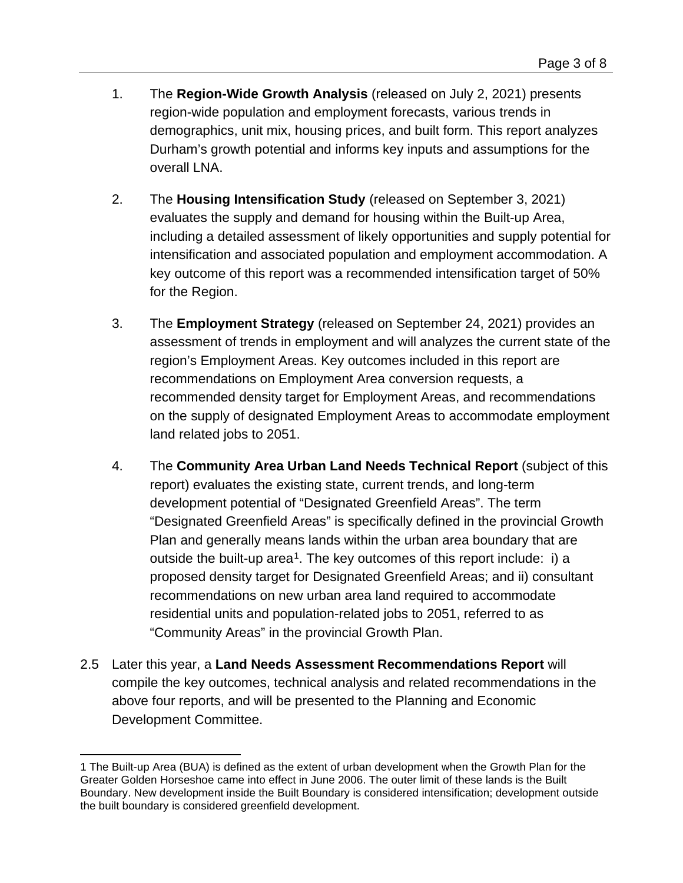- 1. The **Region-Wide Growth Analysis** (released on July 2, 2021) presents region-wide population and employment forecasts, various trends in demographics, unit mix, housing prices, and built form. This report analyzes Durham's growth potential and informs key inputs and assumptions for the overall LNA.
- 2. The **Housing Intensification Study** (released on September 3, 2021) evaluates the supply and demand for housing within the Built-up Area, including a detailed assessment of likely opportunities and supply potential for intensification and associated population and employment accommodation. A key outcome of this report was a recommended intensification target of 50% for the Region.
- 3. The **Employment Strategy** (released on September 24, 2021) provides an assessment of trends in employment and will analyzes the current state of the region's Employment Areas. Key outcomes included in this report are recommendations on Employment Area conversion requests, a recommended density target for Employment Areas, and recommendations on the supply of designated Employment Areas to accommodate employment land related jobs to 2051.
- 4. The **Community Area Urban Land Needs Technical Report** (subject of this report) evaluates the existing state, current trends, and long-term development potential of "Designated Greenfield Areas". The term "Designated Greenfield Areas" is specifically defined in the provincial Growth Plan and generally means lands within the urban area boundary that are outside the built-up area<sup>[1](#page-2-0)</sup>. The key outcomes of this report include: i) a proposed density target for Designated Greenfield Areas; and ii) consultant recommendations on new urban area land required to accommodate residential units and population-related jobs to 2051, referred to as "Community Areas" in the provincial Growth Plan.
- 2.5 Later this year, a **Land Needs Assessment Recommendations Report** will compile the key outcomes, technical analysis and related recommendations in the above four reports, and will be presented to the Planning and Economic Development Committee.

<span id="page-2-0"></span><sup>1</sup> The Built-up Area (BUA) is defined as the extent of urban development when the Growth Plan for the Greater Golden Horseshoe came into effect in June 2006. The outer limit of these lands is the Built Boundary. New development inside the Built Boundary is considered intensification; development outside the built boundary is considered greenfield development.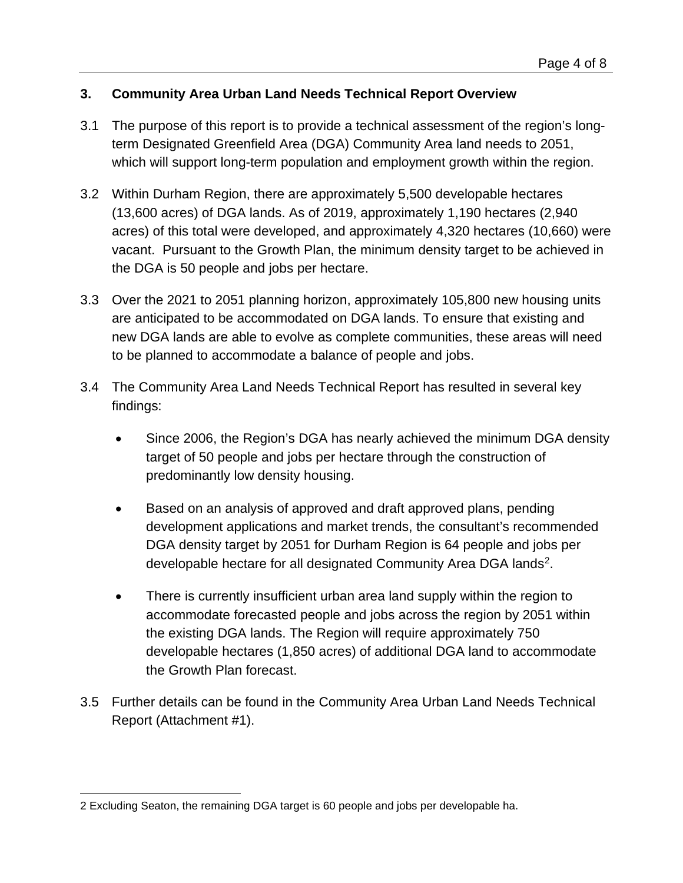#### **3. Community Area Urban Land Needs Technical Report Overview**

- 3.1 The purpose of this report is to provide a technical assessment of the region's longterm Designated Greenfield Area (DGA) Community Area land needs to 2051, which will support long-term population and employment growth within the region.
- 3.2 Within Durham Region, there are approximately 5,500 developable hectares (13,600 acres) of DGA lands. As of 2019, approximately 1,190 hectares (2,940 acres) of this total were developed, and approximately 4,320 hectares (10,660) were vacant. Pursuant to the Growth Plan, the minimum density target to be achieved in the DGA is 50 people and jobs per hectare.
- 3.3 Over the 2021 to 2051 planning horizon, approximately 105,800 new housing units are anticipated to be accommodated on DGA lands. To ensure that existing and new DGA lands are able to evolve as complete communities, these areas will need to be planned to accommodate a balance of people and jobs.
- 3.4 The Community Area Land Needs Technical Report has resulted in several key findings:
	- Since 2006, the Region's DGA has nearly achieved the minimum DGA density target of 50 people and jobs per hectare through the construction of predominantly low density housing.
	- Based on an analysis of approved and draft approved plans, pending development applications and market trends, the consultant's recommended DGA density target by 2051 for Durham Region is 64 people and jobs per developable hectare for all designated Community Area DGA lands<sup>2</sup>.
	- There is currently insufficient urban area land supply within the region to accommodate forecasted people and jobs across the region by 2051 within the existing DGA lands. The Region will require approximately 750 developable hectares (1,850 acres) of additional DGA land to accommodate the Growth Plan forecast.
- 3.5 Further details can be found in the Community Area Urban Land Needs Technical Report (Attachment #1).

<span id="page-3-0"></span><sup>2</sup> Excluding Seaton, the remaining DGA target is 60 people and jobs per developable ha.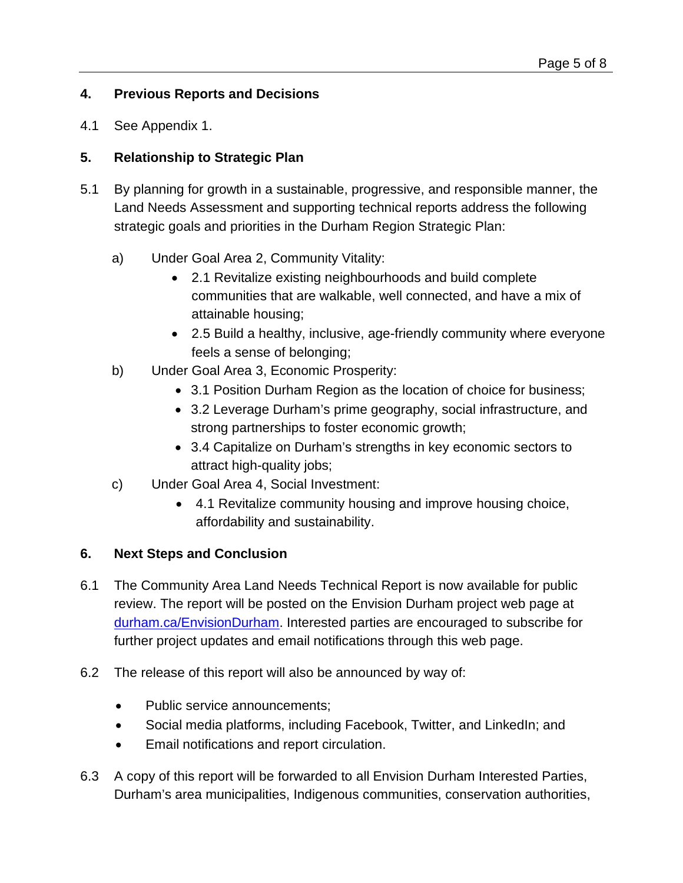## **4. Previous Reports and Decisions**

4.1 See Appendix 1.

## **5. Relationship to Strategic Plan**

- 5.1 By planning for growth in a sustainable, progressive, and responsible manner, the Land Needs Assessment and supporting technical reports address the following strategic goals and priorities in the Durham Region Strategic Plan:
	- a) Under Goal Area 2, Community Vitality:
		- 2.1 Revitalize existing neighbourhoods and build complete communities that are walkable, well connected, and have a mix of attainable housing;
		- 2.5 Build a healthy, inclusive, age-friendly community where everyone feels a sense of belonging;
	- b) Under Goal Area 3, Economic Prosperity:
		- 3.1 Position Durham Region as the location of choice for business;
		- 3.2 Leverage Durham's prime geography, social infrastructure, and strong partnerships to foster economic growth;
		- 3.4 Capitalize on Durham's strengths in key economic sectors to attract high-quality jobs;
	- c) Under Goal Area 4, Social Investment:
		- 4.1 Revitalize community housing and improve housing choice, affordability and sustainability.

# **6. Next Steps and Conclusion**

- 6.1 The Community Area Land Needs Technical Report is now available for public review. The report will be posted on the Envision Durham project web page at [durham.ca/EnvisionDurham.](https://www.durham.ca/en/doing-business/envision-durham.aspx) Interested parties are encouraged to subscribe for further project updates and email notifications through this web page.
- 6.2 The release of this report will also be announced by way of:
	- Public service announcements;
	- Social media platforms, including Facebook, Twitter, and LinkedIn; and
	- Email notifications and report circulation.
- 6.3 A copy of this report will be forwarded to all Envision Durham Interested Parties, Durham's area municipalities, Indigenous communities, conservation authorities,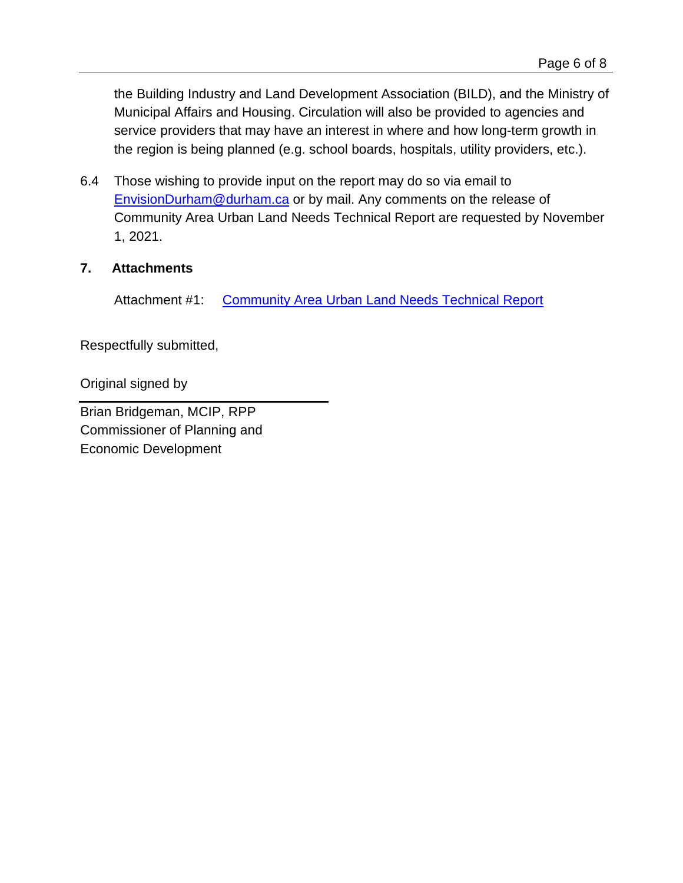the Building Industry and Land Development Association (BILD), and the Ministry of Municipal Affairs and Housing. Circulation will also be provided to agencies and service providers that may have an interest in where and how long-term growth in the region is being planned (e.g. school boards, hospitals, utility providers, etc.).

6.4 Those wishing to provide input on the report may do so via email to [EnvisionDurham@durham.ca](mailto:EnvisionDurham@durham.ca) or by mail. Any comments on the release of Community Area Urban Land Needs Technical Report are requested by November 1, 2021.

## **7. Attachments**

Attachment #1: [Community Area Urban Land Needs Technical Report](https://icreate7.esolutionsgroup.ca/11111068_DurhamRegion/en/doing-business/resources/Documents/PlanningandDevelopment/Envision-Durham/Durham-GMS-Community-Area-Urban-Lands-Needs-Analysis.pdf)

Respectfully submitted,

Original signed by

Brian Bridgeman, MCIP, RPP Commissioner of Planning and Economic Development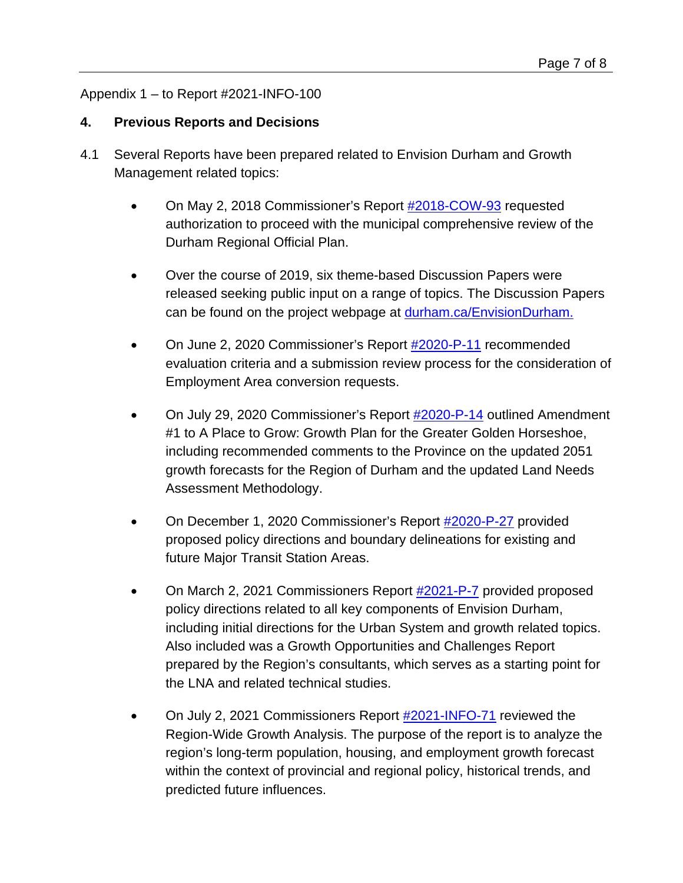# Appendix 1 – to Report #2021-INFO-100

## **4. Previous Reports and Decisions**

- 4.1 Several Reports have been prepared related to Envision Durham and Growth Management related topics:
	- On May 2, 2018 Commissioner's Report [#2018-COW-93](https://www.durham.ca/en/regional-government/resources/Documents/Council/Reports/2018/COW-05022018/2018-COW-93.pdf) requested authorization to proceed with the municipal comprehensive review of the Durham Regional Official Plan.
	- Over the course of 2019, six theme-based Discussion Papers were released seeking public input on a range of topics. The Discussion Papers can be found on the project webpage at [durham.ca/EnvisionDurham.](https://www.durham.ca/en/doing-business/envision-durham.aspx)
	- On June 2, 2020 Commissioner's Report [#2020-P-11](https://www.durham.ca/en/regional-government/resources/Documents/Council/Reports/2020-Committee-Reports/Planning-and-Economic-Development/2020-P-11.pdf) recommended evaluation criteria and a submission review process for the consideration of Employment Area conversion requests.
	- On July 29, 2020 Commissioner's Report [#2020-P-14](https://www.durham.ca/en/regional-government/resources/Documents/Council/Reports/2020-Committee-Reports/Planning-and-Economic-Development/2020-P-14.pdf) outlined Amendment #1 to A Place to Grow: Growth Plan for the Greater Golden Horseshoe, including recommended comments to the Province on the updated 2051 growth forecasts for the Region of Durham and the updated Land Needs Assessment Methodology.
	- On December 1, 2020 Commissioner's Report [#2020-P-27](https://www.durham.ca/en/regional-government/resources/Documents/Council/Reports/2020-Committee-Reports/Planning-and-Economic-Development/2020-P-27.pdf) provided proposed policy directions and boundary delineations for existing and future Major Transit Station Areas.
	- On March 2, 2021 Commissioners Report [#2021-P-7](https://icreate7.esolutionsgroup.ca/11111068_DurhamRegion/en/regional-government/resources/Documents/Council/Reports/2021-Committee-Reports/Planning-and-Economic-Development/2021-P-7.pdf) provided proposed policy directions related to all key components of Envision Durham, including initial directions for the Urban System and growth related topics. Also included was a Growth Opportunities and Challenges Report prepared by the Region's consultants, which serves as a starting point for the LNA and related technical studies.
	- On July 2, 2021 Commissioners Report [#2021-INFO-71](https://www.durham.ca/en/regional-government/resources/Documents/Council/CIP-Reports/CIP-Reports-2021/2021-INFO-71.pdf) reviewed the Region-Wide Growth Analysis. The purpose of the report is to analyze the region's long-term population, housing, and employment growth forecast within the context of provincial and regional policy, historical trends, and predicted future influences.